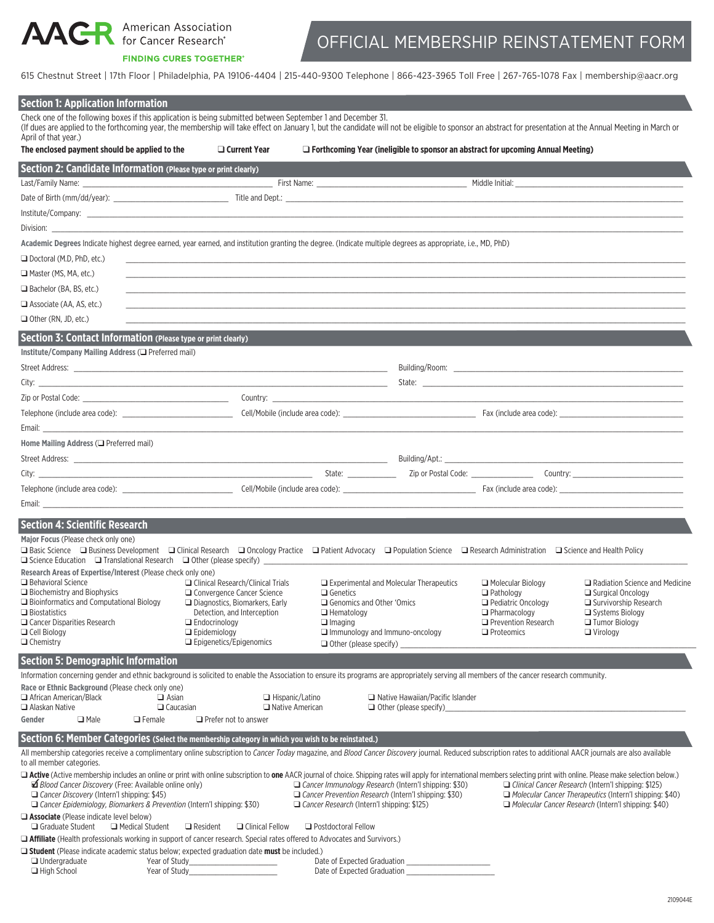**AACR** American Association for Cancer Research®

#### **FINDING CURES TOGETHER®**

# OFFICIAL MEMBERSHIP REINSTATEMENT FORM

615 Chestnut Street | 17th Floor | Philadelphia, PA 19106-4404 | 215-440-9300 Telephone | 866-423-3965 Toll Free | 267-765-1078 Fax | membership@aacr.org

| <b>Section 1: Application Information</b>                                                                                                                                                                                                                                                                                                            |                                                                     |                                                                                                              |                                            |                                                                                                                |
|------------------------------------------------------------------------------------------------------------------------------------------------------------------------------------------------------------------------------------------------------------------------------------------------------------------------------------------------------|---------------------------------------------------------------------|--------------------------------------------------------------------------------------------------------------|--------------------------------------------|----------------------------------------------------------------------------------------------------------------|
| Check one of the following boxes if this application is being submitted between September 1 and December 31.<br>(If dues are applied to the forthcoming year, the membership will take effect on January 1, but the candidate will not be eligible to sponsor an abstract for presentation at the Annual Meeting in March or<br>April of that year.) |                                                                     |                                                                                                              |                                            |                                                                                                                |
| The enclosed payment should be applied to the                                                                                                                                                                                                                                                                                                        | $\Box$ Current Year                                                 | $\Box$ Forthcoming Year (ineligible to sponsor an abstract for upcoming Annual Meeting)                      |                                            |                                                                                                                |
| Section 2: Candidate Information (Please type or print clearly)                                                                                                                                                                                                                                                                                      |                                                                     |                                                                                                              |                                            |                                                                                                                |
|                                                                                                                                                                                                                                                                                                                                                      |                                                                     |                                                                                                              |                                            |                                                                                                                |
| Date of Birth (mm/dd/year): Title and Dept.:                                                                                                                                                                                                                                                                                                         |                                                                     |                                                                                                              |                                            |                                                                                                                |
|                                                                                                                                                                                                                                                                                                                                                      |                                                                     |                                                                                                              |                                            |                                                                                                                |
| Division: <b>Example 19</b>                                                                                                                                                                                                                                                                                                                          |                                                                     |                                                                                                              |                                            |                                                                                                                |
| Academic Degrees Indicate highest degree earned, year earned, and institution granting the degree. (Indicate multiple degrees as appropriate, i.e., MD, PhD)                                                                                                                                                                                         |                                                                     |                                                                                                              |                                            |                                                                                                                |
| □ Doctoral (M.D, PhD, etc.)                                                                                                                                                                                                                                                                                                                          |                                                                     |                                                                                                              |                                            |                                                                                                                |
| □ Master (MS, MA, etc.)                                                                                                                                                                                                                                                                                                                              |                                                                     |                                                                                                              |                                            |                                                                                                                |
| □ Bachelor (BA, BS, etc.)                                                                                                                                                                                                                                                                                                                            |                                                                     |                                                                                                              |                                            |                                                                                                                |
| <b>□</b> Associate (AA, AS, etc.)                                                                                                                                                                                                                                                                                                                    |                                                                     |                                                                                                              |                                            |                                                                                                                |
| $\Box$ Other (RN, JD, etc.)                                                                                                                                                                                                                                                                                                                          |                                                                     |                                                                                                              |                                            |                                                                                                                |
| Section 3: Contact Information (Please type or print clearly)                                                                                                                                                                                                                                                                                        |                                                                     |                                                                                                              |                                            |                                                                                                                |
| Institute/Company Mailing Address (Q Preferred mail)                                                                                                                                                                                                                                                                                                 |                                                                     |                                                                                                              |                                            |                                                                                                                |
|                                                                                                                                                                                                                                                                                                                                                      |                                                                     |                                                                                                              |                                            |                                                                                                                |
|                                                                                                                                                                                                                                                                                                                                                      |                                                                     |                                                                                                              |                                            |                                                                                                                |
|                                                                                                                                                                                                                                                                                                                                                      |                                                                     |                                                                                                              |                                            |                                                                                                                |
|                                                                                                                                                                                                                                                                                                                                                      |                                                                     |                                                                                                              |                                            |                                                                                                                |
| Email: Email: Email: Email: Email: Email: Email: Email: Email: Email: Email: Email: Email: Email: Email: Email: Email: Email: Email: Email: Email: Email: Email: Email: Email: Email: Email: Email: Email: Email: Email: Email                                                                                                                       |                                                                     |                                                                                                              |                                            |                                                                                                                |
| Home Mailing Address (□ Preferred mail)                                                                                                                                                                                                                                                                                                              |                                                                     |                                                                                                              |                                            |                                                                                                                |
|                                                                                                                                                                                                                                                                                                                                                      |                                                                     |                                                                                                              |                                            |                                                                                                                |
|                                                                                                                                                                                                                                                                                                                                                      |                                                                     |                                                                                                              |                                            |                                                                                                                |
|                                                                                                                                                                                                                                                                                                                                                      |                                                                     |                                                                                                              |                                            |                                                                                                                |
| Email: Email: And a strategy of the strategy of the strategy of the strategy of the strategy of the strategy of the strategy of the strategy of the strategy of the strategy of the strategy of the strategy of the strategy o                                                                                                                       |                                                                     |                                                                                                              |                                            |                                                                                                                |
| <b>Section 4: Scientific Research</b>                                                                                                                                                                                                                                                                                                                |                                                                     |                                                                                                              |                                            |                                                                                                                |
| Major Focus (Please check only one)                                                                                                                                                                                                                                                                                                                  |                                                                     |                                                                                                              |                                            |                                                                                                                |
| □ Basic Science · □ Business Development · □ Clinical Research · □ Oncology Practice · □ Patient Advocacy · □ Population Science · □ Research Administration · □ Science and Health Policy                                                                                                                                                           |                                                                     |                                                                                                              |                                            |                                                                                                                |
| Research Areas of Expertise/Interest (Please check only one)                                                                                                                                                                                                                                                                                         |                                                                     |                                                                                                              |                                            |                                                                                                                |
| <b>Behavioral Science</b><br>$\Box$ Biochemistry and Biophysics                                                                                                                                                                                                                                                                                      | □ Clinical Research/Clinical Trials<br>□ Convergence Cancer Science | $\Box$ Experimental and Molecular Therapeutics<br>$\Box$ Genetics                                            | Molecular Biology<br>$\Box$ Pathology      | $\Box$ Radiation Science and Medicine<br>□ Surgical Oncology                                                   |
| □ Bioinformatics and Computational Biology                                                                                                                                                                                                                                                                                                           | $\Box$ Diagnostics, Biomarkers, Early                               | $\Box$ Genomics and Other 'Omics                                                                             | Pediatric Oncology                         | $\Box$ Survivorship Research                                                                                   |
| $\Box$ Biostatistics<br>□ Cancer Disparities Research                                                                                                                                                                                                                                                                                                | Detection, and Interception<br>$\Box$ Endocrinology                 | $\Box$ Hematology<br>$\Box$ Imaging                                                                          | $\Box$ Pharmacology<br>Prevention Research | Systems Biology<br>$\Box$ Tumor Biology                                                                        |
| $\Box$ Cell Biology                                                                                                                                                                                                                                                                                                                                  | $\Box$ Epidemiology                                                 | $\Box$ Immunology and Immuno-oncology                                                                        | $\Box$ Proteomics                          | $\Box$ Virology                                                                                                |
| $\Box$ Chemistry                                                                                                                                                                                                                                                                                                                                     | $\Box$ Epigenetics/Epigenomics                                      | $\Box$ Other (please specify)                                                                                |                                            |                                                                                                                |
| <b>Section 5: Demographic Information</b>                                                                                                                                                                                                                                                                                                            |                                                                     |                                                                                                              |                                            |                                                                                                                |
| Information concerning gender and ethnic background is solicited to enable the Association to ensure its programs are appropriately serving all members of the cancer research community.                                                                                                                                                            |                                                                     |                                                                                                              |                                            |                                                                                                                |
| Race or Ethnic Background (Please check only one)<br>□ African American/Black<br>$\Box$ Asian                                                                                                                                                                                                                                                        | $\Box$ Hispanic/Latino                                              | $\Box$ Native Hawaiian/Pacific Islander                                                                      |                                            |                                                                                                                |
| □ Alaskan Native<br>$\Box$ Caucasian                                                                                                                                                                                                                                                                                                                 | Native American                                                     | $\Box$ Other (please specify)                                                                                |                                            |                                                                                                                |
| Gender<br>$\Box$ Male<br>$\Box$ Female                                                                                                                                                                                                                                                                                                               | $\Box$ Prefer not to answer                                         |                                                                                                              |                                            |                                                                                                                |
| Section 6: Member Categories (Select the membership category in which you wish to be reinstated.)                                                                                                                                                                                                                                                    |                                                                     |                                                                                                              |                                            |                                                                                                                |
| All membership categories receive a complimentary online subscription to Cancer Today magazine, and Blood Cancer Discovery journal. Reduced subscription rates to additional AACR journals are also available<br>to all member categories.                                                                                                           |                                                                     |                                                                                                              |                                            |                                                                                                                |
| □ Active (Active membership includes an online or print with online subscription to one AACR journal of choice. Shipping rates will apply for international members selecting print with online. Please make selection below.<br><i>Blood Cancer Discovery</i> (Free: Available online only)<br>Cancer Discovery (Intern'l shipping: \$45)           |                                                                     | Cancer Immunology Research (Intern'l shipping: \$30)<br>Cancer Prevention Research (Intern'l shipping: \$30) |                                            | Clinical Cancer Research (Intern'l shipping: \$125)<br>Molecular Cancer Therapeutics (Intern'l shipping: \$40) |
| $\Box$ Cancer Epidemiology, Biomarkers & Prevention (Intern'l shipping: \$30)                                                                                                                                                                                                                                                                        |                                                                     | Cancer Research (Intern'l shipping: \$125)                                                                   |                                            | Molecular Cancer Research (Intern'l shipping: \$40)                                                            |
| Associate (Please indicate level below)<br>Graduate Student<br>Medical Student                                                                                                                                                                                                                                                                       | $\Box$ Clinical Fellow                                              | □ Postdoctoral Fellow                                                                                        |                                            |                                                                                                                |
| <b>I Affiliate</b> (Health professionals working in support of cancer research. Special rates offered to Advocates and Survivors.)                                                                                                                                                                                                                   | $\Box$ Resident                                                     |                                                                                                              |                                            |                                                                                                                |
| □ Student (Please indicate academic status below; expected graduation date must be included.)                                                                                                                                                                                                                                                        |                                                                     |                                                                                                              |                                            |                                                                                                                |
| $\Box$ Undergraduate<br>Year of Study<br>□ High School<br>Year of Study                                                                                                                                                                                                                                                                              |                                                                     | Date of Expected Graduation<br>Date of Expected Graduation                                                   |                                            |                                                                                                                |